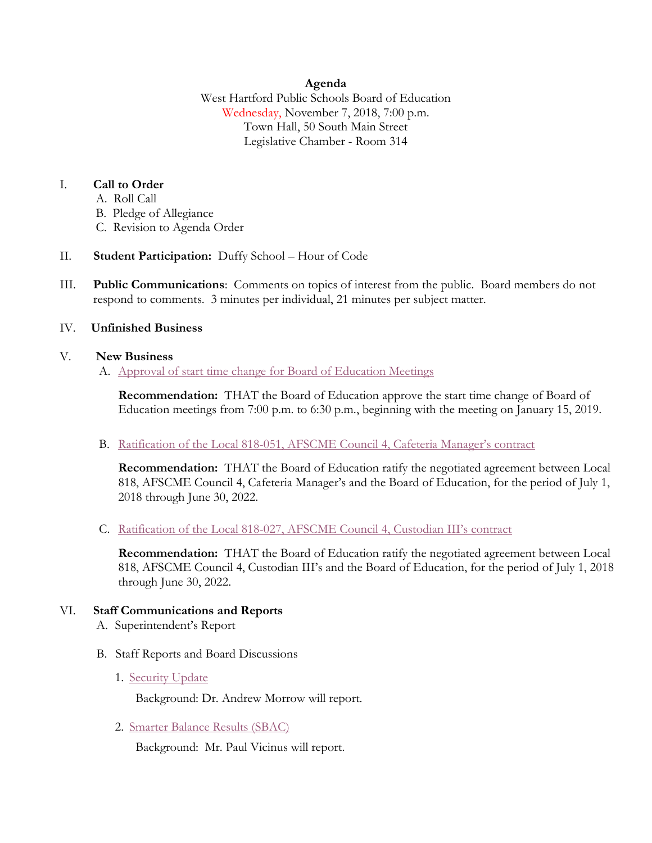# **Agenda**

West Hartford Public Schools Board of Education Wednesday, November 7, 2018, 7:00 p.m. Town Hall, 50 South Main Street Legislative Chamber - Room 314

# I. **Call to Order**

- A. Roll Call
- B. Pledge of Allegiance
- C. Revision to Agenda Order
- II. **Student Participation:** Duffy School Hour of Code
- III. **Public Communications**: Comments on topics of interest from the public. Board members do not respond to comments. 3 minutes per individual, 21 minutes per subject matter.

## IV. **Unfinished Business**

## V. **New Business**

A. [Approval of start time change for Board of Education Meetings](https://westhartford.finalsite.com/uploaded/BOE/BOE_Documents/20181107/Adoption_of_New_start_time_for_BOE_meetings.pdf?1541176182038)

**Recommendation:** THAT the Board of Education approve the start time change of Board of Education meetings from 7:00 p.m. to 6:30 p.m., beginning with the meeting on January 15, 2019.

B. Ratification of the Local 818-[051, AFSCME Council 4, Cafeteria Manager's contract](https://westhartford.finalsite.com/uploaded/BOE/BOE_Documents/20181107/Ratification_of_CafeteriaManagers_2018.pdf?1541176114346)

**Recommendation:** THAT the Board of Education ratify the negotiated agreement between Local 818, AFSCME Council 4, Cafeteria Manager's and the Board of Education, for the period of July 1, 2018 through June 30, 2022.

C. [Ratification of the Local 818-027, AFSCME Council 4,](https://westhartford.finalsite.com/uploaded/BOE/BOE_Documents/20181107/Ratification_of_CIII_Contract_2018.pdf?1541176091158) Custodian III's contract

**Recommendation:** THAT the Board of Education ratify the negotiated agreement between Local 818, AFSCME Council 4, Custodian III's and the Board of Education, for the period of July 1, 2018 through June 30, 2022.

# VI. **Staff Communications and Reports**

- A. Superintendent's Report
- B. Staff Reports and Board Discussions
	- 1. [Security Update](https://westhartford.finalsite.com/uploaded/BOE/BOE_Documents/20181107/School_Security_Update_-Nov_7_2018.pdf?1541176045100)

Background: Dr. Andrew Morrow will report.

2. [Smarter Balance Results \(SBAC\)](https://westhartford.finalsite.com/uploaded/BOE/BOE_Documents/20181107/state_assessment_results_2018_-_literacy_and_mathematics.pdf?1541176303932)

Background: Mr. Paul Vicinus will report.